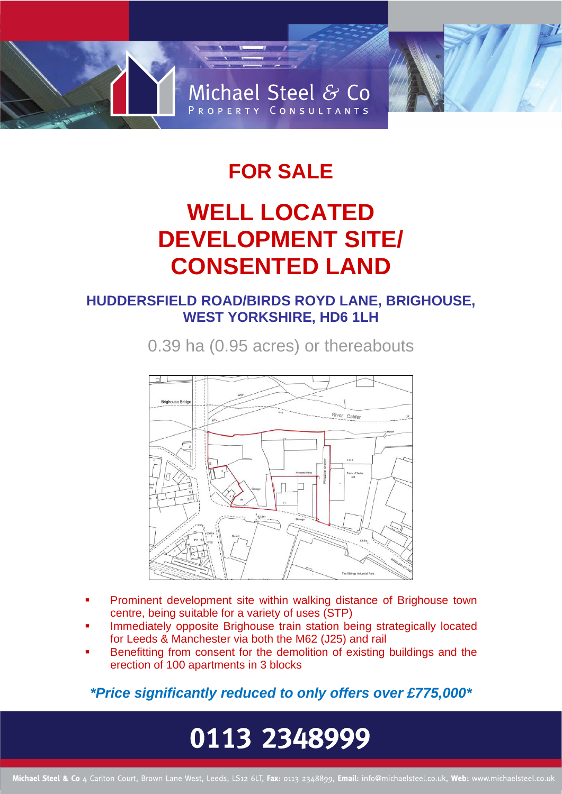

### **FOR SALE**

## **WELL LOCATED DEVELOPMENT SITE/ CONSENTED LAND**

### **HUDDERSFIELD ROAD/BIRDS ROYD LANE, BRIGHOUSE, WEST YORKSHIRE, HD6 1LH**

0.39 ha (0.95 acres) or thereabouts



- Prominent development site within walking distance of Brighouse town centre, being suitable for a variety of uses (STP)
- Immediately opposite Brighouse train station being strategically located for Leeds & Manchester via both the M62 (J25) and rail
- Benefitting from consent for the demolition of existing buildings and the erection of 100 apartments in 3 blocks

*\*Price significantly reduced to only offers over £775,000\**

# 0113 2348999

Michael Steel & Co 4 Carlton Court, Brown Lane West, Leeds, LS12 6LT, Fax: 0113 2348899, Email: info@michaelsteel.co.uk, Web: www.michaelsteel.co.uk